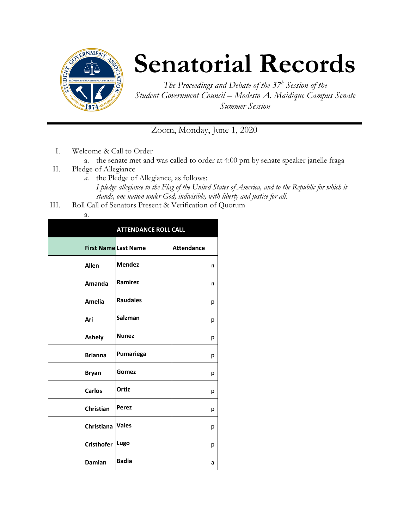

## **Senatorial Records**

*The Proceedings and Debate of the 37<sup>h</sup> Session of the Student Government Council – Modesto A. Maidique Campus Senate Summer Session*

## Zoom, Monday, June 1, 2020

- I. Welcome & Call to Order
	- a. the senate met and was called to order at 4:00 pm by senate speaker janelle fraga
- II. Pledge of Allegiance
	- *a.* the Pledge of Allegiance, as follows: *I pledge allegiance to the Flag of the United States of America, and to the Republic for which it stands, one nation under God, indivisible, with liberty and justice for all.*
- III. Roll Call of Senators Present & Verification of Quorum

| v<br>×<br>۰, |  |
|--------------|--|

| <b>ATTENDANCE ROLL CALL</b> |                 |                   |  |
|-----------------------------|-----------------|-------------------|--|
| <b>First Name Last Name</b> |                 | <b>Attendance</b> |  |
| <b>Allen</b>                | <b>Mendez</b>   | a                 |  |
| Amanda                      | Ramirez         | a                 |  |
| <b>Amelia</b>               | <b>Raudales</b> | р                 |  |
| Ari                         | <b>Salzman</b>  | р                 |  |
| <b>Ashely</b>               | <b>Nunez</b>    | р                 |  |
| <b>Brianna</b>              | Pumariega       | р                 |  |
| <b>Bryan</b>                | Gomez           | р                 |  |
| <b>Carlos</b>               | Ortiz           | р                 |  |
| Christian                   | Perez           | р                 |  |
| Christiana                  | <b>Vales</b>    | р                 |  |
| <b>Cristhofer</b>           | Lugo            | р                 |  |
| <b>Damian</b>               | <b>Badia</b>    | a                 |  |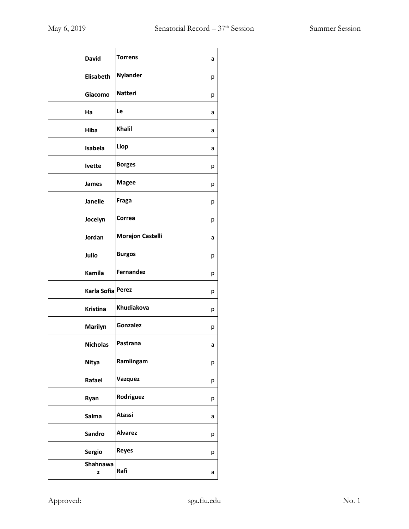| <b>David</b>      | <b>Torrens</b>          | а |
|-------------------|-------------------------|---|
| Elisabeth         | <b>Nylander</b>         | р |
| Giacomo           | <b>Natteri</b>          | р |
| Ha                | Le                      | а |
| <b>Hiba</b>       | <b>Khalil</b>           | а |
| Isabela           | Llop                    | а |
| <b>Ivette</b>     | <b>Borges</b>           | р |
| James             | <b>Magee</b>            | р |
| <b>Janelle</b>    | Fraga                   | р |
| Jocelyn           | Correa                  | р |
| Jordan            | <b>Morejon Castelli</b> | а |
| Julio             | <b>Burgos</b>           | р |
| Kamila            | <b>Fernandez</b>        | р |
| Karla Sofia Perez |                         | р |
| <b>Kristina</b>   | Khudiakova              | р |
| Marilyn           | Gonzalez                | р |
| <b>Nicholas</b>   | Pastrana                | а |
| <b>Nitya</b>      | Ramlingam               | р |
| Rafael            | Vazquez                 | р |
| Ryan              | Rodriguez               | р |
| Salma             | <b>Atassi</b>           | а |
| <b>Sandro</b>     | <b>Alvarez</b>          | р |
| <b>Sergio</b>     | <b>Reyes</b>            | р |
| Shahnawa<br>z     | Rafi                    | а |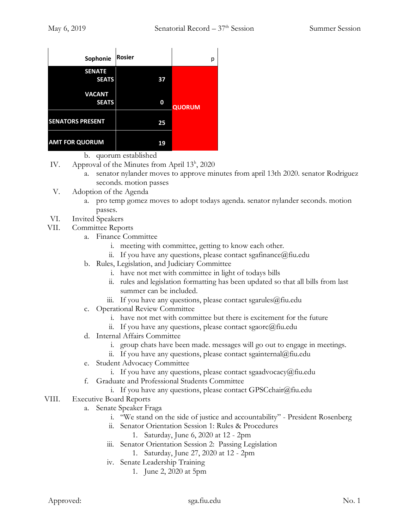| Sophonie                      | <b>Rosier</b> | р             |
|-------------------------------|---------------|---------------|
| <b>SENATE</b><br><b>SEATS</b> | 37            |               |
| <b>VACANT</b><br><b>SEATS</b> | 0             | <b>QUORUM</b> |
| <b>SENATORS PRESENT</b>       | 25            |               |
| <b>AMT FOR QUORUM</b>         | 19            |               |

b. quorum established

- IV. Approval of the Minutes from April 13<sup>h</sup>, 2020
	- a. senator nylander moves to approve minutes from april 13th 2020. senator Rodriguez seconds. motion passes
- V. Adoption of the Agenda
	- a. pro temp gomez moves to adopt todays agenda. senator nylander seconds. motion passes.
- VI. Invited Speakers
- VII. Committee Reports
	- a. Finance Committee
		- i. meeting with committee, getting to know each other.
		- ii. If you have any questions, please contact sgafinance  $\omega$  fiu.edu
	- b. Rules, Legislation, and Judiciary Committee
		- i. have not met with committee in light of todays bills
		- ii. rules and legislation formatting has been updated so that all bills from last summer can be included.
		- iii. If you have any questions, please contact sgarules@fiu.edu
	- c. Operational Review Committee
		- i. have not met with committee but there is excitement for the future
		- ii. If you have any questions, please contact sgaorc@fiu.edu
	- d. Internal Affairs Committee
		- i. group chats have been made. messages will go out to engage in meetings.
		- ii. If you have any questions, please contact sgainternal@fiu.edu
	- e. Student Advocacy Committee
		- i. If you have any questions, please contact sgaadvocacy@fiu.edu
	- f. Graduate and Professional Students Committee
		- i. If you have any questions, please contact GPSCchair $@$ fiu.edu
- VIII. Executive Board Reports
	- a. Senate Speaker Fraga
		- i. "We stand on the side of justice and accountability" President Rosenberg
		- ii. Senator Orientation Session 1: Rules & Procedures
			- 1. Saturday, June 6, 2020 at 12 2pm
		- iii. Senator Orientation Session 2: Passing Legislation
			- 1. Saturday, June 27, 2020 at 12 2pm
		- iv. Senate Leadership Training
			- 1. June 2, 2020 at 5pm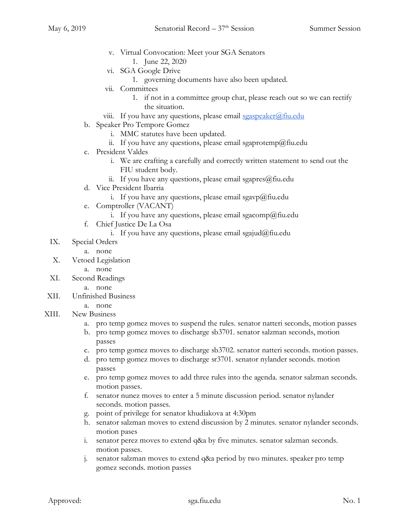- v. Virtual Convocation: Meet your SGA Senators
	- 1. June 22, 2020
- vi. SGA Google Drive
	- 1. governing documents have also been updated.
- vii. Committees
	- 1. if not in a committee group chat, please reach out so we can rectify the situation.
- viii. If you have any questions, please email sgaspeaker $\omega$ fiu.edu
- b. Speaker Pro Tempore Gomez
	- i. MMC statutes have been updated.
	- ii. If you have any questions, please email sgaprotemp@fiu.edu
- c. President Valdes
	- i. We are crafting a carefully and correctly written statement to send out the FIU student body.
	- ii. If you have any questions, please email sgapres $@$ fiu.edu
- d. Vice President Ibarria
	- i. If you have any questions, please email sgavp@fiu.edu
- e. Comptroller (VACANT)
	- i. If you have any questions, please email sgacomp@fiu.edu
- f. Chief Justice De La Osa
	- i. If you have any questions, please email sgajud@fiu.edu
- IX. Special Orders
	- a. none
- X. Vetoed Legislation
	- a. none
- XI. Second Readings
	- a. none
- XII. Unfinished Business
	- a. none
- XIII. New Business
	- a. pro temp gomez moves to suspend the rules. senator natteri seconds, motion passes
	- b. pro temp gomez moves to discharge sb3701. senator salzman seconds, motion passes
	- c. pro temp gomez moves to discharge sb3702. senator natteri seconds. motion passes.
	- d. pro temp gomez moves to discharge sr3701. senator nylander seconds. motion passes
	- e. pro temp gomez moves to add three rules into the agenda. senator salzman seconds. motion passes.
	- f. senator nunez moves to enter a 5 minute discussion period. senator nylander seconds. motion passes.
	- g. point of privilege for senator khudiakova at 4:30pm
	- h. senator salzman moves to extend discussion by 2 minutes. senator nylander seconds. motion pases
	- i. senator perez moves to extend q&a by five minutes. senator salzman seconds. motion passes.
	- j. senator salzman moves to extend q&a period by two minutes. speaker pro temp gomez seconds. motion passes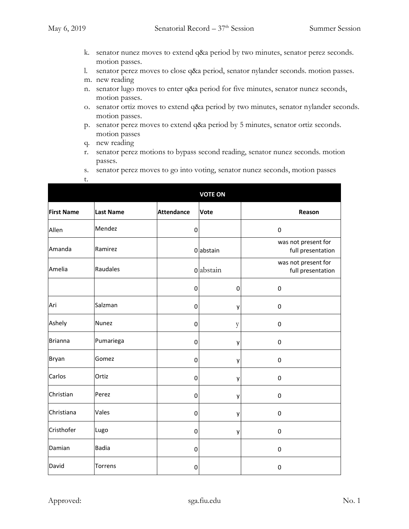- k. senator nunez moves to extend q&a period by two minutes, senator perez seconds. motion passes.
- l. senator perez moves to close q&a period, senator nylander seconds. motion passes.
- m. new reading
- n. senator lugo moves to enter q&a period for five minutes, senator nunez seconds, motion passes.
- o. senator ortiz moves to extend q&a period by two minutes, senator nylander seconds. motion passes.
- p. senator perez moves to extend q&a period by 5 minutes, senator ortiz seconds. motion passes
- q. new reading
- r. senator perez motions to bypass second reading, senator nunez seconds. motion passes.
- s. senator perez moves to go into voting, senator nunez seconds, motion passes

| t.                |                  |                   |                |                                          |
|-------------------|------------------|-------------------|----------------|------------------------------------------|
|                   |                  |                   | <b>VOTE ON</b> |                                          |
| <b>First Name</b> | <b>Last Name</b> | <b>Attendance</b> | Vote           | Reason                                   |
| Allen             | Mendez           | $\mathbf 0$       |                | $\pmb{0}$                                |
| Amanda            | Ramirez          |                   | 0 abstain      | was not present for<br>full presentation |
| Amelia            | Raudales         |                   | 0 abstain      | was not present for<br>full presentation |
|                   |                  | 0                 | 0              | $\pmb{0}$                                |
| Ari               | Salzman          | $\mathbf 0$       | y              | $\mathbf 0$                              |
| Ashely            | <b>Nunez</b>     | $\mathbf 0$       | y              | $\pmb{0}$                                |
| <b>Brianna</b>    | Pumariega        | $\mathbf 0$       | y              | 0                                        |
| <b>Bryan</b>      | Gomez            | $\pmb{0}$         | у              | $\pmb{0}$                                |
| Carlos            | Ortiz            | $\pmb{0}$         | y              | $\pmb{0}$                                |
| Christian         | Perez            | 0                 | у              | 0                                        |
| Christiana        | Vales            | $\pmb{0}$         | y              | $\pmb{0}$                                |
| Cristhofer        | Lugo             | 0                 | у              | $\pmb{0}$                                |
| Damian            | <b>Badia</b>     | $\pmb{0}$         |                | $\pmb{0}$                                |
| David             | Torrens          | 0                 |                | 0                                        |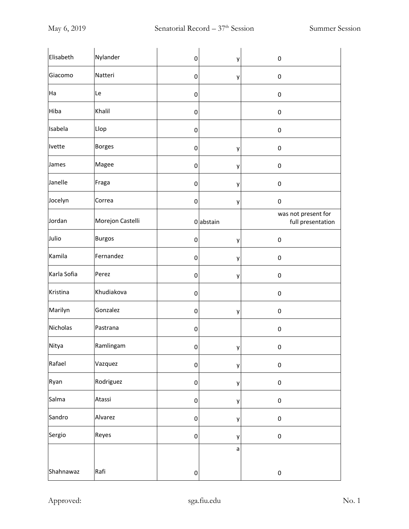| Elisabeth   | Nylander         | 0           | у         | 0                                        |
|-------------|------------------|-------------|-----------|------------------------------------------|
| Giacomo     | Natteri          | 0           | у         | 0                                        |
| Ha          | Le               | 0           |           | 0                                        |
| Hiba        | Khalil           | 0           |           | 0                                        |
| Isabela     | Llop             | 0           |           | 0                                        |
| Ivette      | <b>Borges</b>    | 0           | у         | 0                                        |
| James       | Magee            | 0           | у         | 0                                        |
| Janelle     | Fraga            | 0           | у         | 0                                        |
| Jocelyn     | Correa           | 0           | у         | 0                                        |
| Jordan      | Morejon Castelli |             | 0 abstain | was not present for<br>full presentation |
| Julio       | <b>Burgos</b>    | 0           | у         | 0                                        |
| Kamila      | Fernandez        | 0           | у         | 0                                        |
| Karla Sofia | Perez            | 0           | у         | $\pmb{0}$                                |
| Kristina    | Khudiakova       | 0           |           | 0                                        |
| Marilyn     | Gonzalez         | 0           | у         | 0                                        |
| Nicholas    | Pastrana         | 0           |           | 0                                        |
| Nitya       | Ramlingam        | 0           | у         | 0                                        |
| Rafael      | Vazquez          | 0           | y         | $\pmb{0}$                                |
| Ryan        | Rodriguez        | 0           | y         | $\pmb{0}$                                |
| Salma       | Atassi           | 0           | y         | $\pmb{0}$                                |
| Sandro      | Alvarez          | $\mathbf 0$ | y         | $\pmb{0}$                                |
| Sergio      | Reyes            | $\pmb{0}$   | y         | $\pmb{0}$                                |
|             |                  |             | a         |                                          |
| Shahnawaz   | Rafi             | $\pmb{0}$   |           | $\pmb{0}$                                |